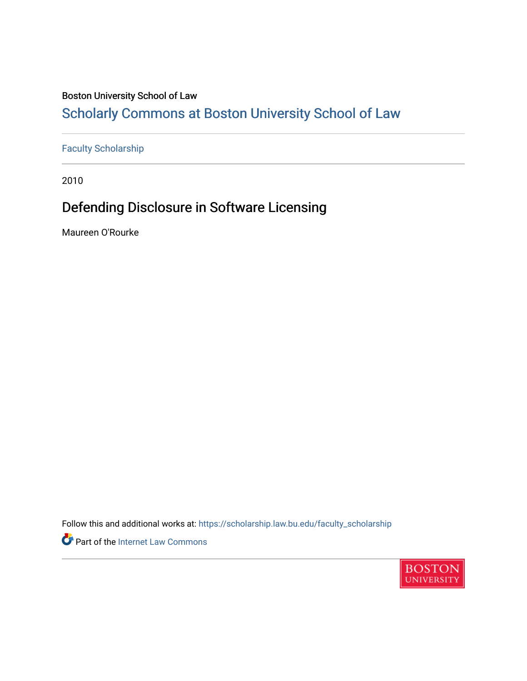#### Boston University School of Law

### [Scholarly Commons at Boston University School of Law](https://scholarship.law.bu.edu/)

#### [Faculty Scholarship](https://scholarship.law.bu.edu/faculty_scholarship)

2010

### Defending Disclosure in Software Licensing

Maureen O'Rourke

Follow this and additional works at: [https://scholarship.law.bu.edu/faculty\\_scholarship](https://scholarship.law.bu.edu/faculty_scholarship?utm_source=scholarship.law.bu.edu%2Ffaculty_scholarship%2F881&utm_medium=PDF&utm_campaign=PDFCoverPages)

Part of the [Internet Law Commons](http://network.bepress.com/hgg/discipline/892?utm_source=scholarship.law.bu.edu%2Ffaculty_scholarship%2F881&utm_medium=PDF&utm_campaign=PDFCoverPages) 

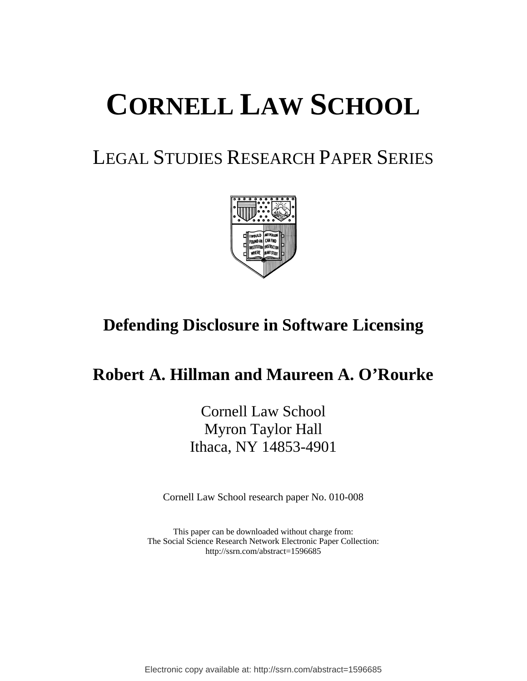# **CORNELL LAW SCHOOL**

# LEGAL STUDIES RESEARCH PAPER SERIES



# **Defending Disclosure in Software Licensing**

## **Robert A. Hillman and Maureen A. O'Rourke**

Cornell Law School Myron Taylor Hall Ithaca, NY 14853-4901

Cornell Law School research paper No. 010-008

This paper can be downloaded without charge from: The Social Science Research Network Electronic Paper Collection: http://ssrn.com/abstract=1596685

Electronic copy available at: http://ssrn.com/abstract=1596685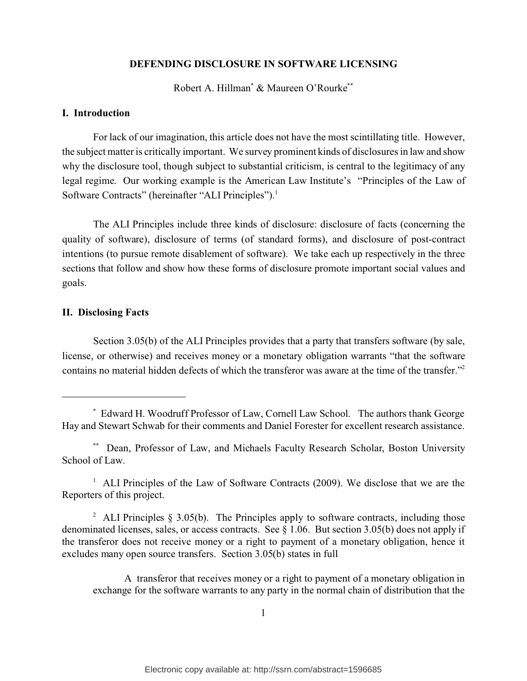#### **DEFENDING DISCLOSURE IN SOFTWARE LICENSING**

Robert A. Hillman\* & Maureen O'Rourke\*\*

#### **I. Introduction**

For lack of our imagination, this article does not have the most scintillating title. However, the subject matter is critically important. We survey prominent kinds of disclosures in law and show why the disclosure tool, though subject to substantial criticism, is central to the legitimacy of any legal regime. Our working example is the American Law Institute's "Principles of the Law of Software Contracts" (hereinafter "ALI Principles").<sup>1</sup>

The ALI Principles include three kinds of disclosure: disclosure of facts (concerning the quality of software), disclosure of terms (of standard forms), and disclosure of post-contract intentions (to pursue remote disablement of software). We take each up respectively in the three sections that follow and show how these forms of disclosure promote important social values and goals.

#### **II. Disclosing Facts**

Section 3.05(b) of the ALI Principles provides that a party that transfers software (by sale, license, or otherwise) and receives money or a monetary obligation warrants "that the software contains no material hidden defects of which the transferor was aware at the time of the transfer."<sup>2</sup>

<sup>1</sup> ALI Principles of the Law of Software Contracts (2009). We disclose that we are the Reporters of this project.

<sup>\*</sup> Edward H. Woodruff Professor of Law, Cornell Law School. The authors thank George Hay and Stewart Schwab for their comments and Daniel Forester for excellent research assistance.

<sup>\*\*</sup> Dean, Professor of Law, and Michaels Faculty Research Scholar, Boston University School of Law.

<sup>&</sup>lt;sup>2</sup> ALI Principles  $\S 3.05(b)$ . The Principles apply to software contracts, including those denominated licenses, sales, or access contracts. See § 1.06. But section 3.05(b) does not apply if the transferor does not receive money or a right to payment of a monetary obligation, hence it excludes many open source transfers. Section 3.05(b) states in full

A transferor that receives money or a right to payment of a monetary obligation in exchange for the software warrants to any party in the normal chain of distribution that the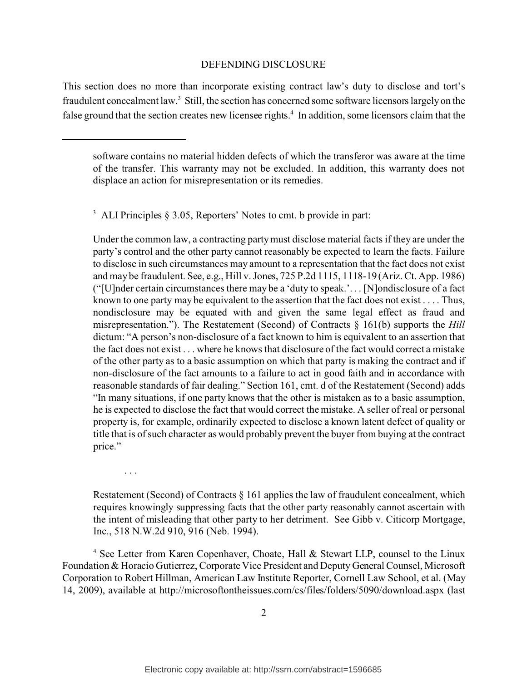This section does no more than incorporate existing contract law's duty to disclose and tort's fraudulent concealment law.<sup>3</sup> Still, the section has concerned some software licensors largely on the false ground that the section creates new licensee rights.<sup>4</sup> In addition, some licensors claim that the

<sup>3</sup> ALI Principles § 3.05, Reporters' Notes to cmt. b provide in part:

Under the common law, a contracting party must disclose material facts if they are under the party's control and the other party cannot reasonably be expected to learn the facts. Failure to disclose in such circumstances may amount to a representation that the fact does not exist and may be fraudulent. See, e.g., Hill v. Jones, 725 P.2d 1115, 1118-19 (Ariz. Ct. App. 1986) ("[U]nder certain circumstances there may be a 'duty to speak.'. . . [N]ondisclosure of a fact known to one party may be equivalent to the assertion that the fact does not exist . . . . Thus, nondisclosure may be equated with and given the same legal effect as fraud and misrepresentation."). The Restatement (Second) of Contracts § 161(b) supports the *Hill* dictum: "A person's non-disclosure of a fact known to him is equivalent to an assertion that the fact does not exist . . . where he knows that disclosure of the fact would correct a mistake of the other party as to a basic assumption on which that party is making the contract and if non-disclosure of the fact amounts to a failure to act in good faith and in accordance with reasonable standards of fair dealing." Section 161, cmt. d of the Restatement (Second) adds "In many situations, if one party knows that the other is mistaken as to a basic assumption, he is expected to disclose the fact that would correct the mistake. A seller of real or personal property is, for example, ordinarily expected to disclose a known latent defect of quality or title that is of such character as would probably prevent the buyer from buying at the contract price."

. . .

Restatement (Second) of Contracts  $\S$  161 applies the law of fraudulent concealment, which requires knowingly suppressing facts that the other party reasonably cannot ascertain with the intent of misleading that other party to her detriment. See Gibb v. Citicorp Mortgage, Inc., 518 N.W.2d 910, 916 (Neb. 1994).

<sup>4</sup> See Letter from Karen Copenhaver, Choate, Hall & Stewart LLP, counsel to the Linux Foundation & Horacio Gutierrez, Corporate Vice President and Deputy General Counsel, Microsoft Corporation to Robert Hillman, American Law Institute Reporter, Cornell Law School, et al. (May 14, 2009), available at http://microsoftontheissues.com/cs/files/folders/5090/download.aspx (last

software contains no material hidden defects of which the transferor was aware at the time of the transfer. This warranty may not be excluded. In addition, this warranty does not displace an action for misrepresentation or its remedies.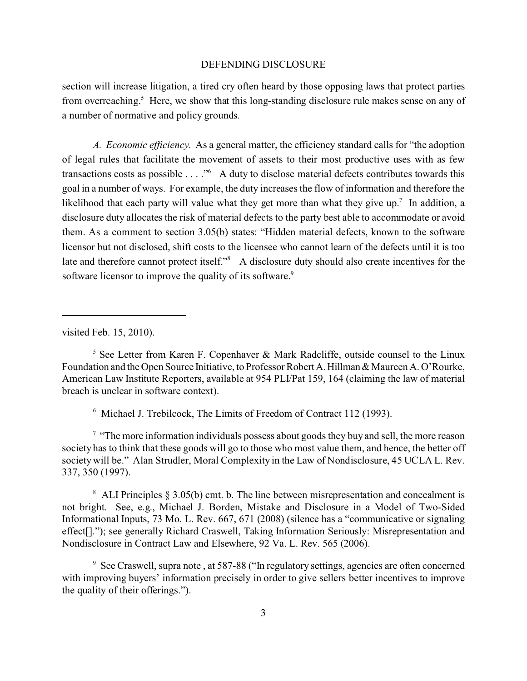section will increase litigation, a tired cry often heard by those opposing laws that protect parties from overreaching.<sup>5</sup> Here, we show that this long-standing disclosure rule makes sense on any of a number of normative and policy grounds.

*A. Economic efficiency.* As a general matter, the efficiency standard calls for "the adoption of legal rules that facilitate the movement of assets to their most productive uses with as few transactions costs as possible . . . ."<sup>6</sup> A duty to disclose material defects contributes towards this goal in a number of ways. For example, the duty increases the flow of information and therefore the likelihood that each party will value what they get more than what they give  $up$ .<sup>7</sup> In addition, a disclosure duty allocates the risk of material defects to the party best able to accommodate or avoid them. As a comment to section 3.05(b) states: "Hidden material defects, known to the software licensor but not disclosed, shift costs to the licensee who cannot learn of the defects until it is too late and therefore cannot protect itself."<sup>8</sup> A disclosure duty should also create incentives for the software licensor to improve the quality of its software.<sup>9</sup>

visited Feb. 15, 2010).

 $5$  See Letter from Karen F. Copenhaver & Mark Radcliffe, outside counsel to the Linux Foundation and the Open Source Initiative, to Professor Robert A. Hillman & Maureen A. O'Rourke, American Law Institute Reporters, available at 954 PLI/Pat 159, 164 (claiming the law of material breach is unclear in software context).

6 Michael J. Trebilcock, The Limits of Freedom of Contract 112 (1993).

 $<sup>7</sup>$  "The more information individuals possess about goods they buy and sell, the more reason</sup> society has to think that these goods will go to those who most value them, and hence, the better off society will be." Alan Strudler, Moral Complexity in the Law of Nondisclosure, 45 UCLA L. Rev. 337, 350 (1997).

<sup>8</sup> ALI Principles § 3.05(b) cmt. b. The line between misrepresentation and concealment is not bright. See, e.g., Michael J. Borden, Mistake and Disclosure in a Model of Two-Sided Informational Inputs, 73 Mo. L. Rev. 667, 671 (2008) (silence has a "communicative or signaling effect[]."); see generally Richard Craswell, Taking Information Seriously: Misrepresentation and Nondisclosure in Contract Law and Elsewhere, 92 Va. L. Rev. 565 (2006).

<sup>9</sup> See Craswell, supra note, at 587-88 ("In regulatory settings, agencies are often concerned with improving buyers' information precisely in order to give sellers better incentives to improve the quality of their offerings.").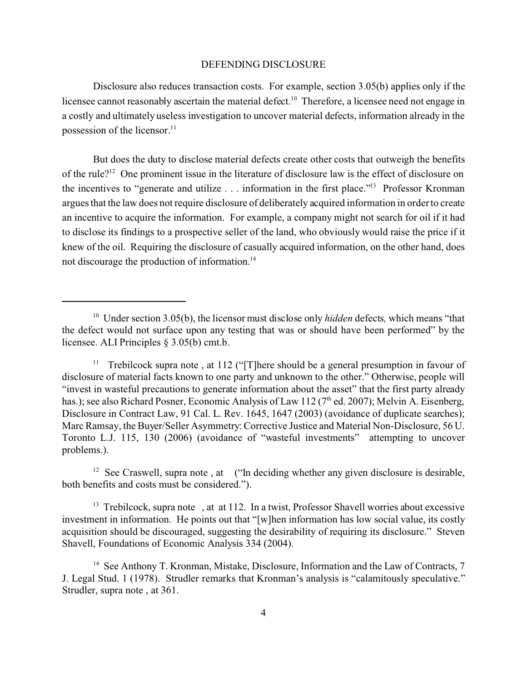Disclosure also reduces transaction costs. For example, section 3.05(b) applies only if the licensee cannot reasonably ascertain the material defect.<sup>10</sup> Therefore, a licensee need not engage in a costly and ultimately useless investigation to uncover material defects, information already in the possession of the licensor. $11$ 

But does the duty to disclose material defects create other costs that outweigh the benefits of the rule?<sup>12</sup> One prominent issue in the literature of disclosure law is the effect of disclosure on the incentives to "generate and utilize . . . information in the first place."<sup>13</sup> Professor Kronman argues that the law does not require disclosure of deliberately acquired information in order to create an incentive to acquire the information. For example, a company might not search for oil if it had to disclose its findings to a prospective seller of the land, who obviously would raise the price if it knew of the oil. Requiring the disclosure of casually acquired information, on the other hand, does not discourage the production of information.<sup>14</sup>

<sup>12</sup> See Craswell, supra note, at  $($ "In deciding whether any given disclosure is desirable, both benefits and costs must be considered.").

<sup>13</sup> Trebilcock, supra note, at at 112. In a twist, Professor Shavell worries about excessive investment in information. He points out that "[w]hen information has low social value, its costly acquisition should be discouraged, suggesting the desirability of requiring its disclosure." Steven Shavell, Foundations of Economic Analysis 334 (2004).

<sup>&</sup>lt;sup>10</sup> Under section 3.05(b), the licensor must disclose only *hidden* defects, which means "that the defect would not surface upon any testing that was or should have been performed" by the licensee. ALI Principles § 3.05(b) cmt.b.

<sup>&</sup>lt;sup>11</sup> Trebilcock supra note, at 112 ("There should be a general presumption in favour of disclosure of material facts known to one party and unknown to the other." Otherwise, people will "invest in wasteful precautions to generate information about the asset" that the first party already has.); see also Richard Posner, Economic Analysis of Law 112 (7<sup>th</sup> ed. 2007); Melvin A. Eisenberg, Disclosure in Contract Law, 91 Cal. L. Rev. 1645, 1647 (2003) (avoidance of duplicate searches); Marc Ramsay, the Buyer/Seller Asymmetry: Corrective Justice and Material Non-Disclosure, 56 U. Toronto L.J. 115, 130 (2006) (avoidance of "wasteful investments" attempting to uncover problems.).

<sup>&</sup>lt;sup>14</sup> See Anthony T. Kronman, Mistake, Disclosure, Information and the Law of Contracts, 7 J. Legal Stud. 1 (1978). Strudler remarks that Kronman's analysis is "calamitously speculative." Strudler, supra note , at 361.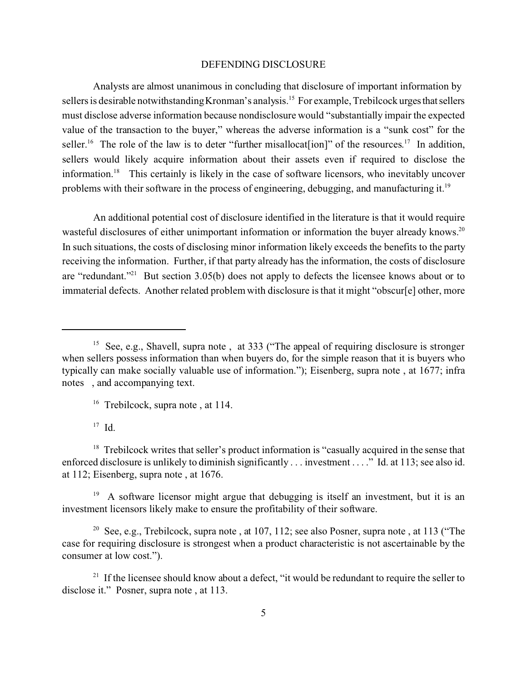Analysts are almost unanimous in concluding that disclosure of important information by sellers is desirable notwithstanding Kronman's analysis.<sup>15</sup> For example, Trebilcock urges that sellers must disclose adverse information because nondisclosure would "substantially impair the expected value of the transaction to the buyer," whereas the adverse information is a "sunk cost" for the seller.<sup>16</sup> The role of the law is to deter "further misallocat[ion]" of the resources.<sup>17</sup> In addition, sellers would likely acquire information about their assets even if required to disclose the information.<sup>18</sup> This certainly is likely in the case of software licensors, who inevitably uncover problems with their software in the process of engineering, debugging, and manufacturing it.<sup>19</sup>

An additional potential cost of disclosure identified in the literature is that it would require wasteful disclosures of either unimportant information or information the buyer already knows.<sup>20</sup> In such situations, the costs of disclosing minor information likely exceeds the benefits to the party receiving the information. Further, if that party already has the information, the costs of disclosure are "redundant."<sup>21</sup> But section 3.05(b) does not apply to defects the licensee knows about or to immaterial defects. Another related problem with disclosure is that it might "obscur[e] other, more

 $17$  Id.

<sup>18</sup> Trebilcock writes that seller's product information is "casually acquired in the sense that enforced disclosure is unlikely to diminish significantly . . . investment . . . ." Id. at 113; see also id. at 112; Eisenberg, supra note , at 1676.

19 A software licensor might argue that debugging is itself an investment, but it is an investment licensors likely make to ensure the profitability of their software.

<sup>20</sup> See, e.g., Trebilcock, supra note, at 107, 112; see also Posner, supra note, at 113 ("The case for requiring disclosure is strongest when a product characteristic is not ascertainable by the consumer at low cost.").

<sup>21</sup> If the licensee should know about a defect, "it would be redundant to require the seller to disclose it." Posner, supra note , at 113.

<sup>&</sup>lt;sup>15</sup> See, e.g., Shavell, supra note, at 333 ("The appeal of requiring disclosure is stronger when sellers possess information than when buyers do, for the simple reason that it is buyers who typically can make socially valuable use of information."); Eisenberg, supra note , at 1677; infra notes , and accompanying text.

<sup>&</sup>lt;sup>16</sup> Trebilcock, supra note, at 114.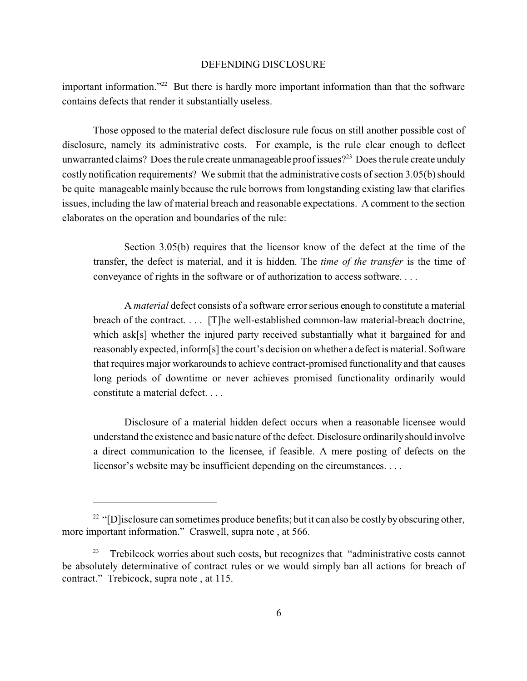important information."<sup>22</sup> But there is hardly more important information than that the software contains defects that render it substantially useless.

Those opposed to the material defect disclosure rule focus on still another possible cost of disclosure, namely its administrative costs. For example, is the rule clear enough to deflect unwarranted claims? Does the rule create unmanageable proof issues?<sup>23</sup> Does the rule create unduly costly notification requirements? We submit that the administrative costs of section 3.05(b) should be quite manageable mainly because the rule borrows from longstanding existing law that clarifies issues, including the law of material breach and reasonable expectations. A comment to the section elaborates on the operation and boundaries of the rule:

Section 3.05(b) requires that the licensor know of the defect at the time of the transfer, the defect is material, and it is hidden. The *time of the transfer* is the time of conveyance of rights in the software or of authorization to access software. . . .

A *material* defect consists of a software error serious enough to constitute a material breach of the contract. . . . [T]he well-established common-law material-breach doctrine, which ask[s] whether the injured party received substantially what it bargained for and reasonably expected, inform[s] the court's decision on whether a defect is material. Software that requires major workarounds to achieve contract-promised functionality and that causes long periods of downtime or never achieves promised functionality ordinarily would constitute a material defect. . . .

Disclosure of a material hidden defect occurs when a reasonable licensee would understand the existence and basic nature of the defect. Disclosure ordinarily should involve a direct communication to the licensee, if feasible. A mere posting of defects on the licensor's website may be insufficient depending on the circumstances. . . .

<sup>&</sup>lt;sup>22</sup> "[D] isclosure can sometimes produce benefits; but it can also be costly by obscuring other, more important information." Craswell, supra note , at 566.

 $23$  Trebilcock worries about such costs, but recognizes that "administrative costs cannot" be absolutely determinative of contract rules or we would simply ban all actions for breach of contract." Trebicock, supra note , at 115.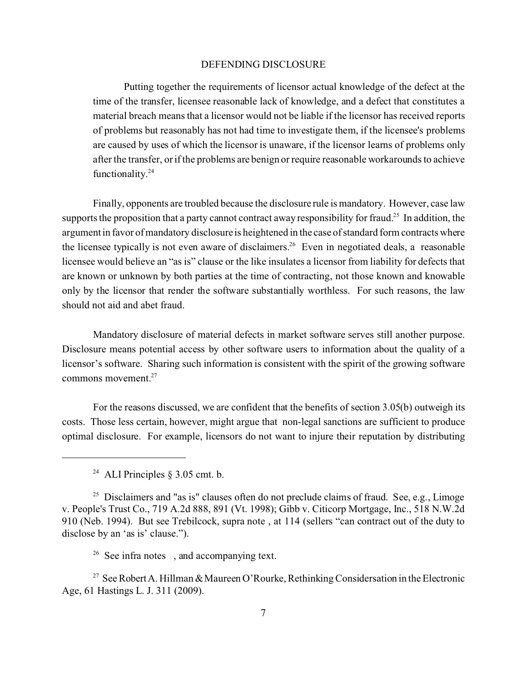Putting together the requirements of licensor actual knowledge of the defect at the time of the transfer, licensee reasonable lack of knowledge, and a defect that constitutes a material breach means that a licensor would not be liable if the licensor has received reports of problems but reasonably has not had time to investigate them, if the licensee's problems are caused by uses of which the licensor is unaware, if the licensor learns of problems only after the transfer, or if the problems are benign or require reasonable workarounds to achieve functionality.<sup>24</sup>

Finally, opponents are troubled because the disclosure rule is mandatory. However, case law supports the proposition that a party cannot contract away responsibility for fraud.<sup>25</sup> In addition, the argument in favor of mandatory disclosure is heightened in the case of standard form contracts where the licensee typically is not even aware of disclaimers.<sup>26</sup> Even in negotiated deals, a reasonable licensee would believe an "as is" clause or the like insulates a licensor from liability for defects that are known or unknown by both parties at the time of contracting, not those known and knowable only by the licensor that render the software substantially worthless. For such reasons, the law should not aid and abet fraud.

Mandatory disclosure of material defects in market software serves still another purpose. Disclosure means potential access by other software users to information about the quality of a licensor's software. Sharing such information is consistent with the spirit of the growing software commons movement.<sup>27</sup>

For the reasons discussed, we are confident that the benefits of section 3.05(b) outweigh its costs. Those less certain, however, might argue that non-legal sanctions are sufficient to produce optimal disclosure. For example, licensors do not want to injure their reputation by distributing

<sup>&</sup>lt;sup>24</sup> ALI Principles  $\S 3.05$  cmt. b.

<sup>&</sup>lt;sup>25</sup> Disclaimers and "as is" clauses often do not preclude claims of fraud. See, e.g., Limoge v. People's Trust Co., 719 A.2d 888, 891 (Vt. 1998); Gibb v. Citicorp Mortgage, Inc., 518 N.W.2d 910 (Neb. 1994). But see Trebilcock, supra note , at 114 (sellers "can contract out of the duty to disclose by an 'as is' clause.").

<sup>&</sup>lt;sup>26</sup> See infra notes, and accompanying text.

<sup>&</sup>lt;sup>27</sup> See Robert A. Hillman & Maureen O'Rourke, Rethinking Considersation in the Electronic Age, 61 Hastings L. J. 311 (2009).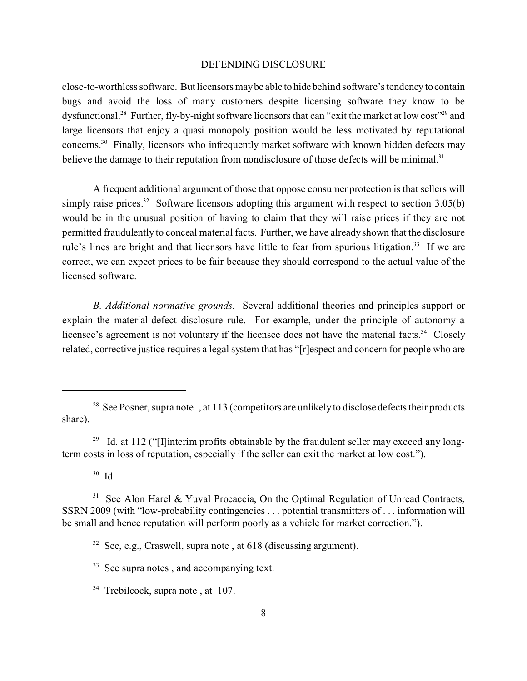close-to-worthless software. But licensors may be able to hide behind software's tendency to contain bugs and avoid the loss of many customers despite licensing software they know to be dysfunctional.<sup>28</sup> Further, fly-by-night software licensors that can "exit the market at low cost"<sup>29</sup> and large licensors that enjoy a quasi monopoly position would be less motivated by reputational concerns.<sup>30</sup> Finally, licensors who infrequently market software with known hidden defects may believe the damage to their reputation from nondisclosure of those defects will be minimal.<sup>31</sup>

A frequent additional argument of those that oppose consumer protection is that sellers will simply raise prices.<sup>32</sup> Software licensors adopting this argument with respect to section  $3.05(b)$ would be in the unusual position of having to claim that they will raise prices if they are not permitted fraudulently to conceal material facts. Further, we have already shown that the disclosure rule's lines are bright and that licensors have little to fear from spurious litigation.<sup>33</sup> If we are correct, we can expect prices to be fair because they should correspond to the actual value of the licensed software.

*B. Additional normative grounds.* Several additional theories and principles support or explain the material-defect disclosure rule. For example, under the principle of autonomy a licensee's agreement is not voluntary if the licensee does not have the material facts.<sup>34</sup> Closely related, corrective justice requires a legal system that has "[r]espect and concern for people who are

<sup>30</sup> Id.

<sup>&</sup>lt;sup>28</sup> See Posner, supra note , at 113 (competitors are unlikely to disclose defects their products share).

<sup>&</sup>lt;sup>29</sup> Id. at 112 ("I] interim profits obtainable by the fraudulent seller may exceed any longterm costs in loss of reputation, especially if the seller can exit the market at low cost.").

<sup>&</sup>lt;sup>31</sup> See Alon Harel & Yuval Procaccia, On the Optimal Regulation of Unread Contracts, SSRN 2009 (with "low-probability contingencies . . . potential transmitters of . . . information will be small and hence reputation will perform poorly as a vehicle for market correction.").

 $32$  See, e.g., Craswell, supra note, at 618 (discussing argument).

<sup>&</sup>lt;sup>33</sup> See supra notes, and accompanying text.

<sup>&</sup>lt;sup>34</sup> Trebilcock, supra note, at 107.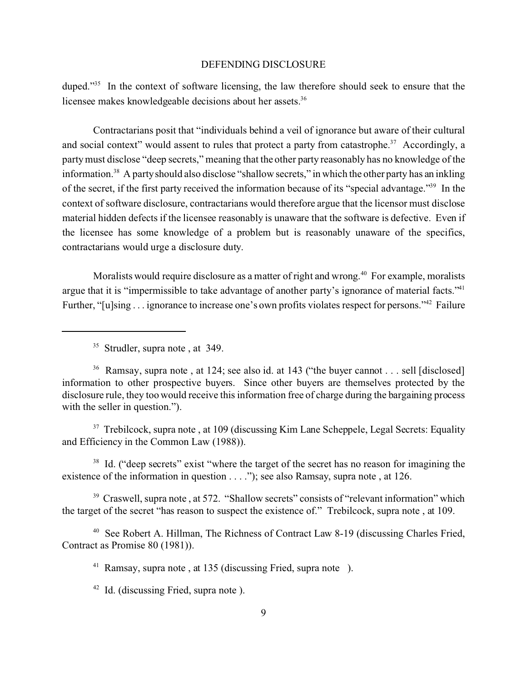duped."<sup>35</sup> In the context of software licensing, the law therefore should seek to ensure that the licensee makes knowledgeable decisions about her assets.<sup>36</sup>

Contractarians posit that "individuals behind a veil of ignorance but aware of their cultural and social context" would assent to rules that protect a party from catastrophe.<sup>37</sup> Accordingly, a party must disclose "deep secrets," meaning that the other party reasonably has no knowledge of the information.<sup>38</sup> A party should also disclose "shallow secrets," in which the other party has an inkling of the secret, if the first party received the information because of its "special advantage."<sup>39</sup> In the context of software disclosure, contractarians would therefore argue that the licensor must disclose material hidden defects if the licensee reasonably is unaware that the software is defective. Even if the licensee has some knowledge of a problem but is reasonably unaware of the specifics, contractarians would urge a disclosure duty.

Moralists would require disclosure as a matter of right and wrong.<sup>40</sup> For example, moralists argue that it is "impermissible to take advantage of another party's ignorance of material facts."<sup>41</sup> Further, "[u]sing . . . ignorance to increase one's own profits violates respect for persons."42 Failure

<sup>35</sup> Strudler, supra note, at 349.

<sup>36</sup> Ramsay, supra note, at 124; see also id. at 143 ("the buyer cannot . . . sell [disclosed] information to other prospective buyers. Since other buyers are themselves protected by the disclosure rule, they too would receive this information free of charge during the bargaining process with the seller in question.").

<sup>37</sup> Trebilcock, supra note, at 109 (discussing Kim Lane Scheppele, Legal Secrets: Equality and Efficiency in the Common Law (1988)).

<sup>38</sup> Id. ("deep secrets" exist "where the target of the secret has no reason for imagining the existence of the information in question . . . ."); see also Ramsay, supra note, at 126.

 $39$  Craswell, supra note, at 572. "Shallow secrets" consists of "relevant information" which the target of the secret "has reason to suspect the existence of." Trebilcock, supra note , at 109.

<sup>40</sup> See Robert A. Hillman, The Richness of Contract Law 8-19 (discussing Charles Fried, Contract as Promise 80 (1981)).

<sup>41</sup> Ramsay, supra note , at 135 (discussing Fried, supra note ).

<sup>42</sup> Id. (discussing Fried, supra note).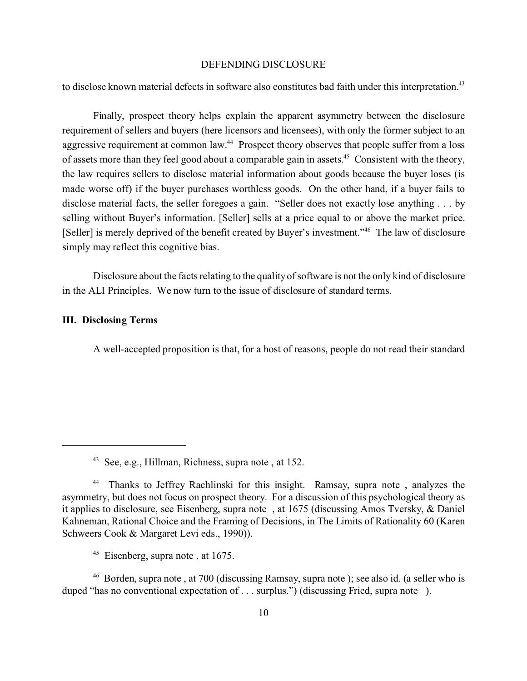to disclose known material defects in software also constitutes bad faith under this interpretation.<sup>43</sup>

Finally, prospect theory helps explain the apparent asymmetry between the disclosure requirement of sellers and buyers (here licensors and licensees), with only the former subject to an aggressive requirement at common law.<sup>44</sup> Prospect theory observes that people suffer from a loss of assets more than they feel good about a comparable gain in assets.<sup>45</sup> Consistent with the theory, the law requires sellers to disclose material information about goods because the buyer loses (is made worse off) if the buyer purchases worthless goods. On the other hand, if a buyer fails to disclose material facts, the seller foregoes a gain. "Seller does not exactly lose anything . . . by selling without Buyer's information. [Seller] sells at a price equal to or above the market price. [Seller] is merely deprived of the benefit created by Buyer's investment."<sup>46</sup> The law of disclosure simply may reflect this cognitive bias.

Disclosure about the facts relating to the quality of software is not the only kind of disclosure in the ALI Principles. We now turn to the issue of disclosure of standard terms.

#### **III. Disclosing Terms**

A well-accepted proposition is that, for a host of reasons, people do not read their standard

<sup>46</sup> Borden, supra note , at 700 (discussing Ramsay, supra note ); see also id. (a seller who is duped "has no conventional expectation of . . . surplus.") (discussing Fried, supra note ).

<sup>43</sup> See, e.g., Hillman, Richness, supra note , at 152.

<sup>&</sup>lt;sup>44</sup> Thanks to Jeffrey Rachlinski for this insight. Ramsay, supra note, analyzes the asymmetry, but does not focus on prospect theory. For a discussion of this psychological theory as it applies to disclosure, see Eisenberg, supra note , at 1675 (discussing Amos Tversky, & Daniel Kahneman, Rational Choice and the Framing of Decisions, in The Limits of Rationality 60 (Karen Schweers Cook & Margaret Levi eds., 1990)).

<sup>&</sup>lt;sup>45</sup> Eisenberg, supra note, at 1675.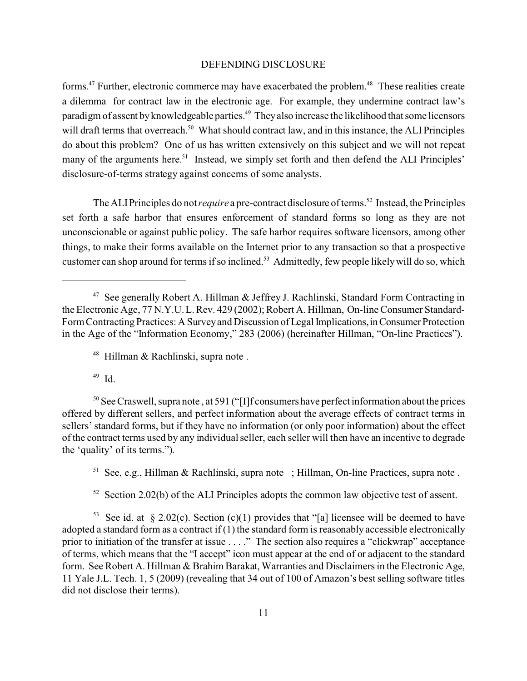forms.<sup>47</sup> Further, electronic commerce may have exacerbated the problem.<sup>48</sup> These realities create a dilemma for contract law in the electronic age. For example, they undermine contract law's paradigm of assent by knowledgeable parties.<sup>49</sup> They also increase the likelihood that some licensors will draft terms that overreach.<sup>50</sup> What should contract law, and in this instance, the ALI Principles do about this problem? One of us has written extensively on this subject and we will not repeat many of the arguments here.<sup>51</sup> Instead, we simply set forth and then defend the ALI Principles' disclosure-of-terms strategy against concerns of some analysts.

The ALI Principles do not *require* a pre-contract disclosure of terms.<sup>52</sup> Instead, the Principles set forth a safe harbor that ensures enforcement of standard forms so long as they are not unconscionable or against public policy. The safe harbor requires software licensors, among other things, to make their forms available on the Internet prior to any transaction so that a prospective customer can shop around for terms if so inclined.53 Admittedly, few people likely will do so, which

<sup>49</sup> Id.

<sup>50</sup> See Craswell, supra note, at 591 ("[I]f consumers have perfect information about the prices offered by different sellers, and perfect information about the average effects of contract terms in sellers' standard forms, but if they have no information (or only poor information) about the effect of the contract terms used by any individual seller, each seller will then have an incentive to degrade the 'quality' of its terms.").

<sup>51</sup> See, e.g., Hillman & Rachlinski, supra note ; Hillman, On-line Practices, supra note.

 $52$  Section 2.02(b) of the ALI Principles adopts the common law objective test of assent.

<sup>53</sup> See id. at § 2.02(c). Section (c)(1) provides that "[a] licensee will be deemed to have adopted a standard form as a contract if (1) the standard form is reasonably accessible electronically prior to initiation of the transfer at issue . . . ." The section also requires a "clickwrap" acceptance of terms, which means that the "I accept" icon must appear at the end of or adjacent to the standard form. See Robert A. Hillman & Brahim Barakat, Warranties and Disclaimers in the Electronic Age, 11 Yale J.L. Tech. 1, 5 (2009) (revealing that 34 out of 100 of Amazon's best selling software titles did not disclose their terms).

<sup>47</sup> See generally Robert A. Hillman & Jeffrey J. Rachlinski, Standard Form Contracting in the Electronic Age, 77 N.Y.U. L. Rev. 429 (2002); Robert A. Hillman, On-line Consumer Standard-Form Contracting Practices: A Survey and Discussion of Legal Implications,inConsumer Protection in the Age of the "Information Economy," 283 (2006) (hereinafter Hillman, "On-line Practices").

<sup>48</sup> Hillman & Rachlinski, supra note .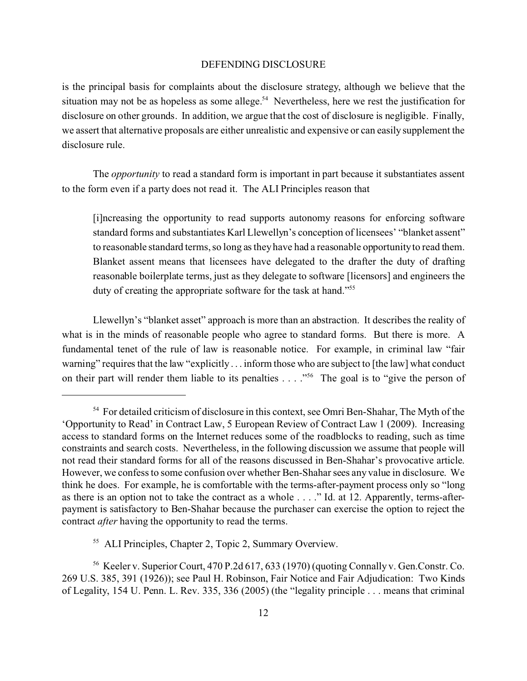is the principal basis for complaints about the disclosure strategy, although we believe that the situation may not be as hopeless as some allege.<sup>54</sup> Nevertheless, here we rest the justification for disclosure on other grounds. In addition, we argue that the cost of disclosure is negligible. Finally, we assert that alternative proposals are either unrealistic and expensive or can easily supplement the disclosure rule.

The *opportunity* to read a standard form is important in part because it substantiates assent to the form even if a party does not read it. The ALI Principles reason that

[i]ncreasing the opportunity to read supports autonomy reasons for enforcing software standard forms and substantiates Karl Llewellyn's conception of licensees' "blanket assent" to reasonable standard terms, so long as they have had a reasonable opportunity to read them. Blanket assent means that licensees have delegated to the drafter the duty of drafting reasonable boilerplate terms, just as they delegate to software [licensors] and engineers the duty of creating the appropriate software for the task at hand."<sup>55</sup>

Llewellyn's "blanket asset" approach is more than an abstraction. It describes the reality of what is in the minds of reasonable people who agree to standard forms. But there is more. A fundamental tenet of the rule of law is reasonable notice. For example, in criminal law "fair warning" requires that the law "explicitly . . . inform those who are subject to [the law] what conduct on their part will render them liable to its penalties . . . . "<sup>56</sup> The goal is to "give the person of

<sup>55</sup> ALI Principles, Chapter 2, Topic 2, Summary Overview.

<sup>56</sup> Keeler v. Superior Court, 470 P.2d 617, 633 (1970) (quoting Connally v. Gen.Constr. Co. 269 U.S. 385, 391 (1926)); see Paul H. Robinson, Fair Notice and Fair Adjudication: Two Kinds of Legality, 154 U. Penn. L. Rev. 335, 336 (2005) (the "legality principle . . . means that criminal

<sup>&</sup>lt;sup>54</sup> For detailed criticism of disclosure in this context, see Omri Ben-Shahar, The Myth of the 'Opportunity to Read' in Contract Law, 5 European Review of Contract Law 1 (2009). Increasing access to standard forms on the Internet reduces some of the roadblocks to reading, such as time constraints and search costs. Nevertheless, in the following discussion we assume that people will not read their standard forms for all of the reasons discussed in Ben-Shahar's provocative article. However, we confess to some confusion over whether Ben-Shahar sees any value in disclosure. We think he does. For example, he is comfortable with the terms-after-payment process only so "long as there is an option not to take the contract as a whole . . . ." Id. at 12. Apparently, terms-afterpayment is satisfactory to Ben-Shahar because the purchaser can exercise the option to reject the contract *after* having the opportunity to read the terms.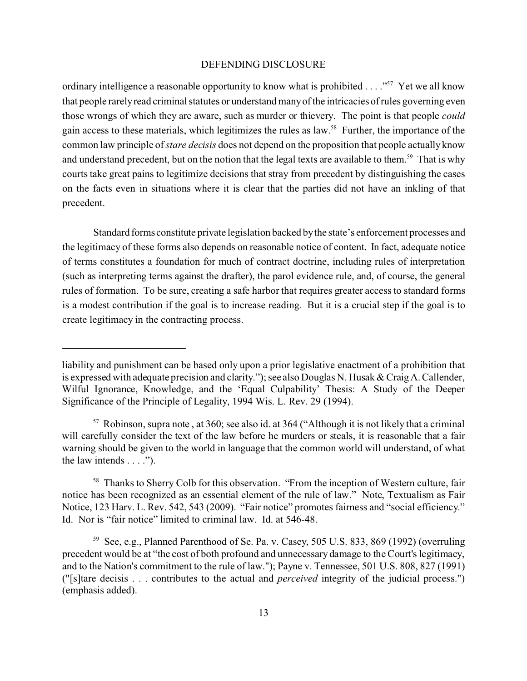ordinary intelligence a reasonable opportunity to know what is prohibited . . . ."<sup>57</sup> Yet we all know that people rarely read criminal statutes or understand many of the intricacies of rules governing even those wrongs of which they are aware, such as murder or thievery. The point is that people *could* gain access to these materials, which legitimizes the rules as law.<sup>58</sup> Further, the importance of the common law principle of *stare decisis* does not depend on the proposition that people actually know and understand precedent, but on the notion that the legal texts are available to them.<sup>59</sup> That is why courts take great pains to legitimize decisions that stray from precedent by distinguishing the cases on the facts even in situations where it is clear that the parties did not have an inkling of that precedent.

Standard forms constitute private legislation backed by the state's enforcement processes and the legitimacy of these forms also depends on reasonable notice of content. In fact, adequate notice of terms constitutes a foundation for much of contract doctrine, including rules of interpretation (such as interpreting terms against the drafter), the parol evidence rule, and, of course, the general rules of formation. To be sure, creating a safe harbor that requires greater access to standard forms is a modest contribution if the goal is to increase reading. But it is a crucial step if the goal is to create legitimacy in the contracting process.

liability and punishment can be based only upon a prior legislative enactment of a prohibition that is expressed with adequate precision and clarity."); see also Douglas N. Husak & Craig A. Callender, Wilful Ignorance, Knowledge, and the 'Equal Culpability' Thesis: A Study of the Deeper Significance of the Principle of Legality, 1994 Wis. L. Rev. 29 (1994).

 $57$  Robinson, supra note, at 360; see also id. at 364 ("Although it is not likely that a criminal will carefully consider the text of the law before he murders or steals, it is reasonable that a fair warning should be given to the world in language that the common world will understand, of what the law intends  $\dots$ .").

<sup>&</sup>lt;sup>58</sup> Thanks to Sherry Colb for this observation. "From the inception of Western culture, fair notice has been recognized as an essential element of the rule of law." Note, Textualism as Fair Notice, 123 Harv. L. Rev. 542, 543 (2009). "Fair notice" promotes fairness and "social efficiency." Id. Nor is "fair notice" limited to criminal law. Id. at 546-48.

<sup>59</sup> See, e.g., Planned Parenthood of Se. Pa. v. Casey, 505 U.S. 833, 869 (1992) (overruling precedent would be at "the cost of both profound and unnecessary damage to the Court's legitimacy, and to the Nation's commitment to the rule of law."); Payne v. Tennessee, 501 U.S. 808, 827 (1991) ("[s]tare decisis . . . contributes to the actual and *perceived* integrity of the judicial process.") (emphasis added).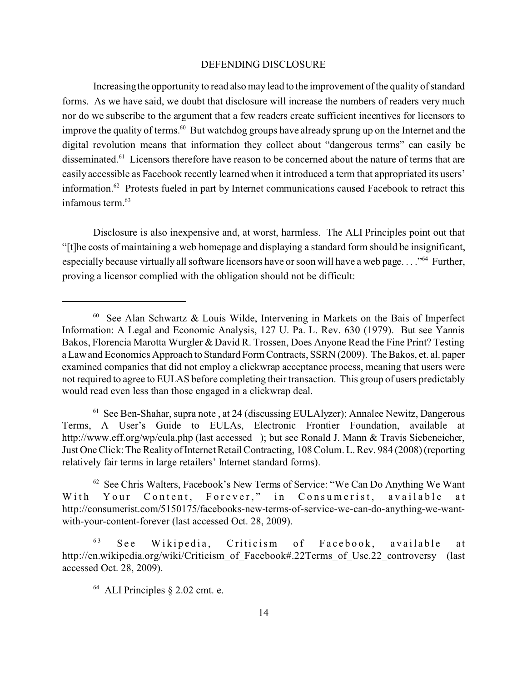Increasing the opportunity to read also may lead to the improvement of the quality of standard forms. As we have said, we doubt that disclosure will increase the numbers of readers very much nor do we subscribe to the argument that a few readers create sufficient incentives for licensors to improve the quality of terms.<sup>60</sup> But watchdog groups have already sprung up on the Internet and the digital revolution means that information they collect about "dangerous terms" can easily be disseminated.<sup>61</sup> Licensors therefore have reason to be concerned about the nature of terms that are easily accessible as Facebook recently learned when it introduced a term that appropriated its users' information.<sup>62</sup> Protests fueled in part by Internet communications caused Facebook to retract this infamous term.<sup>63</sup>

Disclosure is also inexpensive and, at worst, harmless. The ALI Principles point out that "[t]he costs of maintaining a web homepage and displaying a standard form should be insignificant, especially because virtually all software licensors have or soon will have a web page. . . ."<sup>64</sup> Further, proving a licensor complied with the obligation should not be difficult:

 $61$  See Ben-Shahar, supra note, at 24 (discussing EULAlyzer); Annalee Newitz, Dangerous Terms, A User's Guide to EULAs, Electronic Frontier Foundation, available at http://www.eff.org/wp/eula.php (last accessed ); but see Ronald J. Mann & Travis Siebeneicher, Just One Click: The Reality of Internet Retail Contracting, 108 Colum. L. Rev. 984 (2008) (reporting relatively fair terms in large retailers' Internet standard forms).

<sup>62</sup> See Chris Walters, Facebook's New Terms of Service: "We Can Do Anything We Want With Your Content, Forever," in Consumerist, available at http://consumerist.com/5150175/facebooks-new-terms-of-service-we-can-do-anything-we-wantwith-your-content-forever (last accessed Oct. 28, 2009).

 $60$  See Alan Schwartz & Louis Wilde, Intervening in Markets on the Bais of Imperfect Information: A Legal and Economic Analysis, 127 U. Pa. L. Rev. 630 (1979). But see Yannis Bakos, Florencia Marotta Wurgler & David R. Trossen, Does Anyone Read the Fine Print? Testing a Law and Economics Approach to Standard Form Contracts, SSRN (2009). The Bakos, et. al. paper examined companies that did not employ a clickwrap acceptance process, meaning that users were not required to agree to EULAS before completing their transaction. This group of users predictably would read even less than those engaged in a clickwrap deal.

 $63$  See Wikipedia, Criticism of Facebook, available at http://en.wikipedia.org/wiki/Criticism\_of\_Facebook#.22Terms\_of\_Use.22\_controversy (last accessed Oct. 28, 2009).

<sup>64</sup> ALI Principles § 2.02 cmt. e.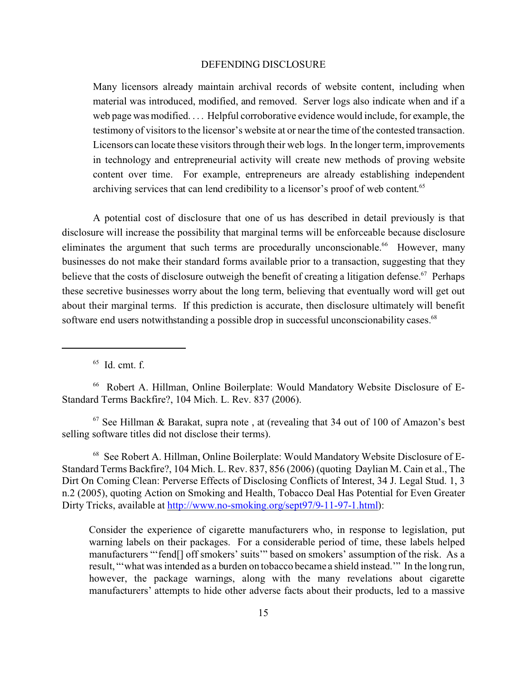Many licensors already maintain archival records of website content, including when material was introduced, modified, and removed. Server logs also indicate when and if a web page was modified. . . . Helpful corroborative evidence would include, for example, the testimony of visitors to the licensor's website at or near the time of the contested transaction. Licensors can locate these visitors through their web logs. In the longer term, improvements in technology and entrepreneurial activity will create new methods of proving website content over time. For example, entrepreneurs are already establishing independent archiving services that can lend credibility to a licensor's proof of web content.<sup>65</sup>

A potential cost of disclosure that one of us has described in detail previously is that disclosure will increase the possibility that marginal terms will be enforceable because disclosure eliminates the argument that such terms are procedurally unconscionable.<sup>66</sup> However, many businesses do not make their standard forms available prior to a transaction, suggesting that they believe that the costs of disclosure outweigh the benefit of creating a litigation defense.<sup>67</sup> Perhaps these secretive businesses worry about the long term, believing that eventually word will get out about their marginal terms. If this prediction is accurate, then disclosure ultimately will benefit software end users notwithstanding a possible drop in successful unconscionability cases.<sup>68</sup>

 $<sup>65</sup>$  Id. cmt. f.</sup>

66 Robert A. Hillman, Online Boilerplate: Would Mandatory Website Disclosure of E-Standard Terms Backfire?, 104 Mich. L. Rev. 837 (2006).

 $67$  See Hillman & Barakat, supra note, at (revealing that 34 out of 100 of Amazon's best selling software titles did not disclose their terms).

68 See Robert A. Hillman, Online Boilerplate: Would Mandatory Website Disclosure of E-Standard Terms Backfire?, 104 Mich. L. Rev. 837, 856 (2006) (quoting Daylian M. Cain et al., The Dirt On Coming Clean: Perverse Effects of Disclosing Conflicts of Interest, 34 J. Legal Stud. 1, 3 n.2 (2005), quoting Action on Smoking and Health, Tobacco Deal Has Potential for Even Greater Dirty Tricks, available at http://www.no-smoking.org/sept97/9-11-97-1.html):

Consider the experience of cigarette manufacturers who, in response to legislation, put warning labels on their packages. For a considerable period of time, these labels helped manufacturers "'fend[] off smokers' suits'" based on smokers' assumption of the risk. As a result, "'what was intended as a burden on tobacco became a shield instead.'" In the long run, however, the package warnings, along with the many revelations about cigarette manufacturers' attempts to hide other adverse facts about their products, led to a massive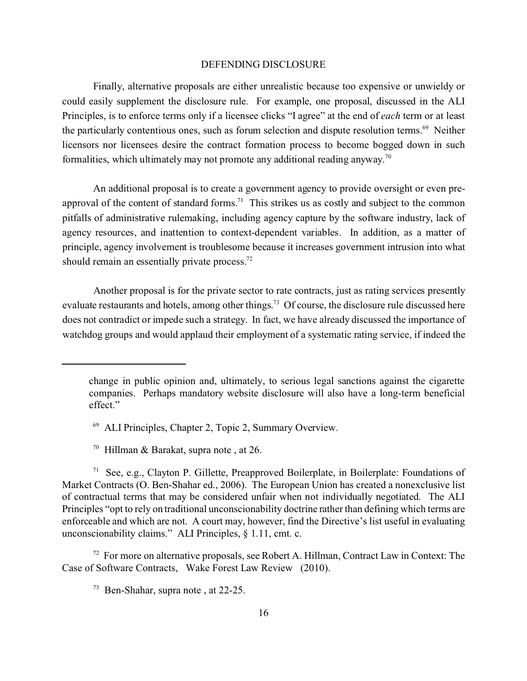Finally, alternative proposals are either unrealistic because too expensive or unwieldy or could easily supplement the disclosure rule. For example, one proposal, discussed in the ALI Principles, is to enforce terms only if a licensee clicks "I agree" at the end of *each* term or at least the particularly contentious ones, such as forum selection and dispute resolution terms.<sup>69</sup> Neither licensors nor licensees desire the contract formation process to become bogged down in such formalities, which ultimately may not promote any additional reading anyway.<sup>70</sup>

An additional proposal is to create a government agency to provide oversight or even preapproval of the content of standard forms.<sup>71</sup> This strikes us as costly and subject to the common pitfalls of administrative rulemaking, including agency capture by the software industry, lack of agency resources, and inattention to context-dependent variables. In addition, as a matter of principle, agency involvement is troublesome because it increases government intrusion into what should remain an essentially private process.<sup>72</sup>

Another proposal is for the private sector to rate contracts, just as rating services presently evaluate restaurants and hotels, among other things.<sup>73</sup> Of course, the disclosure rule discussed here does not contradict or impede such a strategy. In fact, we have already discussed the importance of watchdog groups and would applaud their employment of a systematic rating service, if indeed the

- <sup>69</sup> ALI Principles, Chapter 2, Topic 2, Summary Overview.
- <sup>70</sup> Hillman & Barakat, supra note , at 26.

<sup>71</sup> See, e.g., Clayton P. Gillette, Preapproved Boilerplate, in Boilerplate: Foundations of Market Contracts (O. Ben-Shahar ed., 2006). The European Union has created a nonexclusive list of contractual terms that may be considered unfair when not individually negotiated. The ALI Principles "opt to rely on traditional unconscionability doctrine rather than defining which terms are enforceable and which are not. A court may, however, find the Directive's list useful in evaluating unconscionability claims." ALI Principles, § 1.11, cmt. c.

 $72$  For more on alternative proposals, see Robert A. Hillman, Contract Law in Context: The Case of Software Contracts, Wake Forest Law Review (2010).

change in public opinion and, ultimately, to serious legal sanctions against the cigarette companies. Perhaps mandatory website disclosure will also have a long-term beneficial effect."

<sup>73</sup> Ben-Shahar, supra note , at 22-25.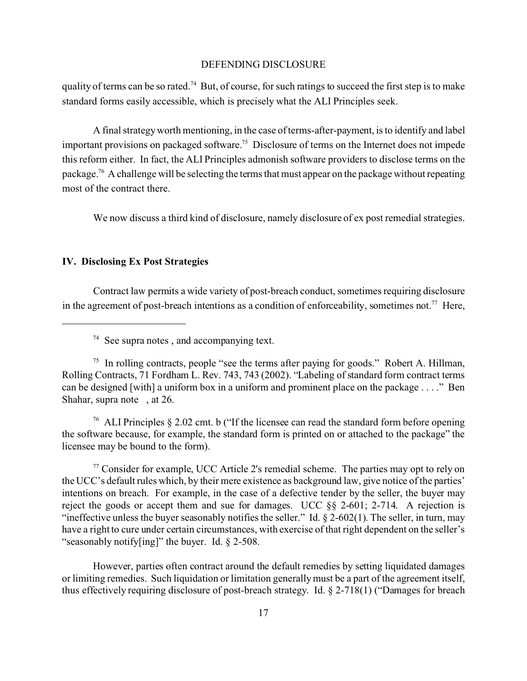quality of terms can be so rated.<sup>74</sup> But, of course, for such ratings to succeed the first step is to make standard forms easily accessible, which is precisely what the ALI Principles seek.

A final strategy worth mentioning, in the case of terms-after-payment, is to identify and label important provisions on packaged software.<sup>75</sup> Disclosure of terms on the Internet does not impede this reform either. In fact, the ALI Principles admonish software providers to disclose terms on the package.<sup>76</sup> A challenge will be selecting the terms that must appear on the package without repeating most of the contract there.

We now discuss a third kind of disclosure, namely disclosure of ex post remedial strategies.

#### **IV. Disclosing Ex Post Strategies**

Contract law permits a wide variety of post-breach conduct, sometimes requiring disclosure in the agreement of post-breach intentions as a condition of enforceability, sometimes not.<sup>77</sup> Here,

<sup>76</sup> ALI Principles § 2.02 cmt. b ("If the licensee can read the standard form before opening the software because, for example, the standard form is printed on or attached to the package" the licensee may be bound to the form).

 $77$  Consider for example, UCC Article 2's remedial scheme. The parties may opt to rely on the UCC's default rules which, by their mere existence as background law, give notice of the parties' intentions on breach. For example, in the case of a defective tender by the seller, the buyer may reject the goods or accept them and sue for damages. UCC §§ 2-601; 2-714. A rejection is "ineffective unless the buyer seasonably notifies the seller." Id.  $\S$  2-602(1). The seller, in turn, may have a right to cure under certain circumstances, with exercise of that right dependent on the seller's "seasonably notify[ing]" the buyer. Id. § 2-508.

However, parties often contract around the default remedies by setting liquidated damages or limiting remedies. Such liquidation or limitation generally must be a part of the agreement itself, thus effectively requiring disclosure of post-breach strategy. Id. § 2-718(1) ("Damages for breach

 $74$  See supra notes, and accompanying text.

<sup>&</sup>lt;sup>75</sup> In rolling contracts, people "see the terms after paying for goods." Robert A. Hillman, Rolling Contracts, 71 Fordham L. Rev. 743, 743 (2002). "Labeling of standard form contract terms can be designed [with] a uniform box in a uniform and prominent place on the package . . . ." Ben Shahar, supra note , at 26.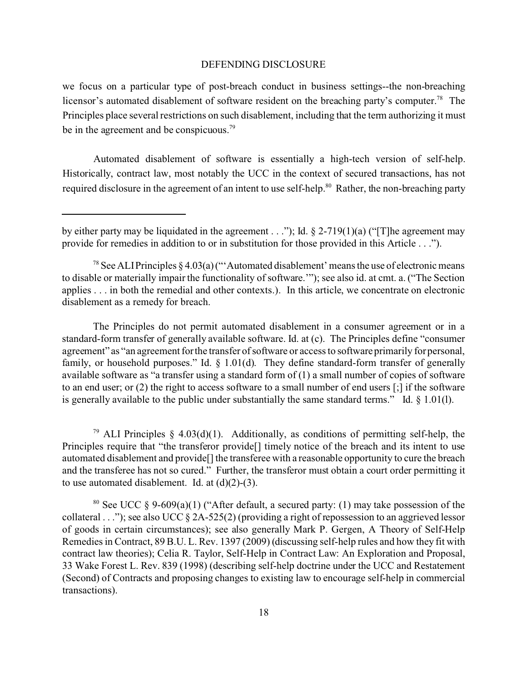we focus on a particular type of post-breach conduct in business settings--the non-breaching licensor's automated disablement of software resident on the breaching party's computer.<sup>78</sup> The Principles place several restrictions on such disablement, including that the term authorizing it must be in the agreement and be conspicuous.<sup>79</sup>

Automated disablement of software is essentially a high-tech version of self-help. Historically, contract law, most notably the UCC in the context of secured transactions, has not required disclosure in the agreement of an intent to use self-help.<sup>80</sup> Rather, the non-breaching party

The Principles do not permit automated disablement in a consumer agreement or in a standard-form transfer of generally available software. Id. at (c). The Principles define "consumer agreement" as "an agreement for the transfer of software or access to software primarily for personal, family, or household purposes." Id. § 1.01(d). They define standard-form transfer of generally available software as "a transfer using a standard form of (1) a small number of copies of software to an end user; or (2) the right to access software to a small number of end users [;] if the software is generally available to the public under substantially the same standard terms." Id.  $\S$  1.01(1).

<sup>79</sup> ALI Principles § 4.03(d)(1). Additionally, as conditions of permitting self-help, the Principles require that "the transferor provide<sup>[]</sup> timely notice of the breach and its intent to use automated disablement and provide[] the transferee with a reasonable opportunity to cure the breach and the transferee has not so cured." Further, the transferor must obtain a court order permitting it to use automated disablement. Id. at  $(d)(2)-(3)$ .

<sup>80</sup> See UCC § 9-609(a)(1) ("After default, a secured party: (1) may take possession of the collateral . . ."); see also UCC  $\S$  2A-525(2) (providing a right of repossession to an aggrieved lessor of goods in certain circumstances); see also generally Mark P. Gergen, A Theory of Self-Help Remedies in Contract, 89 B.U. L. Rev. 1397 (2009) (discussing self-help rules and how they fit with contract law theories); Celia R. Taylor, Self-Help in Contract Law: An Exploration and Proposal, 33 Wake Forest L. Rev. 839 (1998) (describing self-help doctrine under the UCC and Restatement (Second) of Contracts and proposing changes to existing law to encourage self-help in commercial transactions).

by either party may be liquidated in the agreement . . ."); Id.  $\S$  2-719(1)(a) ("The agreement may provide for remedies in addition to or in substitution for those provided in this Article . . .").

<sup>&</sup>lt;sup>78</sup> See ALI Principles § 4.03(a) ("'Automated disablement' means the use of electronic means to disable or materially impair the functionality of software.'"); see also id. at cmt. a. ("The Section applies . . . in both the remedial and other contexts.). In this article, we concentrate on electronic disablement as a remedy for breach.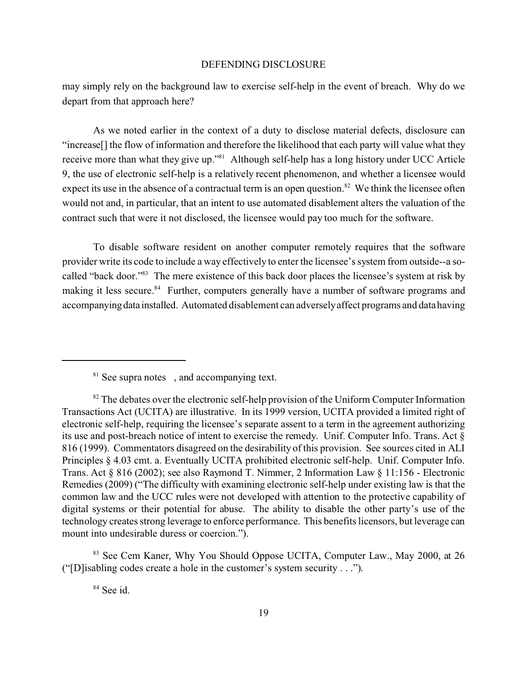may simply rely on the background law to exercise self-help in the event of breach. Why do we depart from that approach here?

As we noted earlier in the context of a duty to disclose material defects, disclosure can "increase[] the flow of information and therefore the likelihood that each party will value what they receive more than what they give up."<sup>81</sup> Although self-help has a long history under UCC Article 9, the use of electronic self-help is a relatively recent phenomenon, and whether a licensee would expect its use in the absence of a contractual term is an open question.<sup>82</sup> We think the licensee often would not and, in particular, that an intent to use automated disablement alters the valuation of the contract such that were it not disclosed, the licensee would pay too much for the software.

To disable software resident on another computer remotely requires that the software provider write its code to include a way effectively to enter the licensee's system from outside--a socalled "back door."<sup>83</sup> The mere existence of this back door places the licensee's system at risk by making it less secure.<sup>84</sup> Further, computers generally have a number of software programs and accompanyingdata installed. Automated disablement can adversely affect programs and data having

<sup>83</sup> See Cem Kaner, Why You Should Oppose UCITA, Computer Law., May 2000, at 26 ("[D]isabling codes create a hole in the customer's system security . . .").

<sup>84</sup> See id.

<sup>&</sup>lt;sup>81</sup> See supra notes, and accompanying text.

 $82$  The debates over the electronic self-help provision of the Uniform Computer Information Transactions Act (UCITA) are illustrative. In its 1999 version, UCITA provided a limited right of electronic self-help, requiring the licensee's separate assent to a term in the agreement authorizing its use and post-breach notice of intent to exercise the remedy. Unif. Computer Info. Trans. Act § 816 (1999). Commentators disagreed on the desirability of this provision. See sources cited in ALI Principles § 4.03 cmt. a. Eventually UCITA prohibited electronic self-help. Unif. Computer Info. Trans. Act § 816 (2002); see also Raymond T. Nimmer, 2 Information Law § 11:156 - Electronic Remedies (2009) ("The difficulty with examining electronic self-help under existing law is that the common law and the UCC rules were not developed with attention to the protective capability of digital systems or their potential for abuse. The ability to disable the other party's use of the technology creates strong leverage to enforce performance. This benefits licensors, but leverage can mount into undesirable duress or coercion.").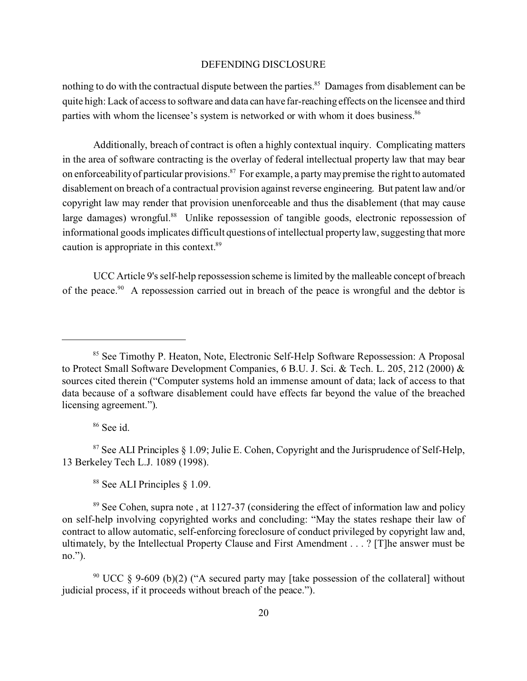nothing to do with the contractual dispute between the parties.<sup>85</sup> Damages from disablement can be quite high: Lack of access to software and data can have far-reaching effects on the licensee and third parties with whom the licensee's system is networked or with whom it does business.<sup>86</sup>

Additionally, breach of contract is often a highly contextual inquiry. Complicating matters in the area of software contracting is the overlay of federal intellectual property law that may bear on enforceability of particular provisions.<sup>87</sup> For example, a party may premise the right to automated disablement on breach of a contractual provision against reverse engineering. But patent law and/or copyright law may render that provision unenforceable and thus the disablement (that may cause large damages) wrongful.<sup>88</sup> Unlike repossession of tangible goods, electronic repossession of informational goods implicates difficult questions of intellectual property law, suggesting that more caution is appropriate in this context.<sup>89</sup>

UCC Article 9's self-help repossession scheme is limited by the malleable concept of breach of the peace.<sup>90</sup> A repossession carried out in breach of the peace is wrongful and the debtor is

<sup>86</sup> See id.

 $87$  See ALI Principles  $\S$  1.09; Julie E. Cohen, Copyright and the Jurisprudence of Self-Help, 13 Berkeley Tech L.J. 1089 (1998).

<sup>88</sup> See ALI Principles § 1.09.

 $89$  See Cohen, supra note, at 1127-37 (considering the effect of information law and policy on self-help involving copyrighted works and concluding: "May the states reshape their law of contract to allow automatic, self-enforcing foreclosure of conduct privileged by copyright law and, ultimately, by the Intellectual Property Clause and First Amendment . . . ? [T]he answer must be no.").

<sup>90</sup> UCC § 9-609 (b)(2) ("A secured party may [take possession of the collateral] without judicial process, if it proceeds without breach of the peace.").

<sup>&</sup>lt;sup>85</sup> See Timothy P. Heaton, Note, Electronic Self-Help Software Repossession: A Proposal to Protect Small Software Development Companies, 6 B.U. J. Sci. & Tech. L. 205, 212 (2000) & sources cited therein ("Computer systems hold an immense amount of data; lack of access to that data because of a software disablement could have effects far beyond the value of the breached licensing agreement.").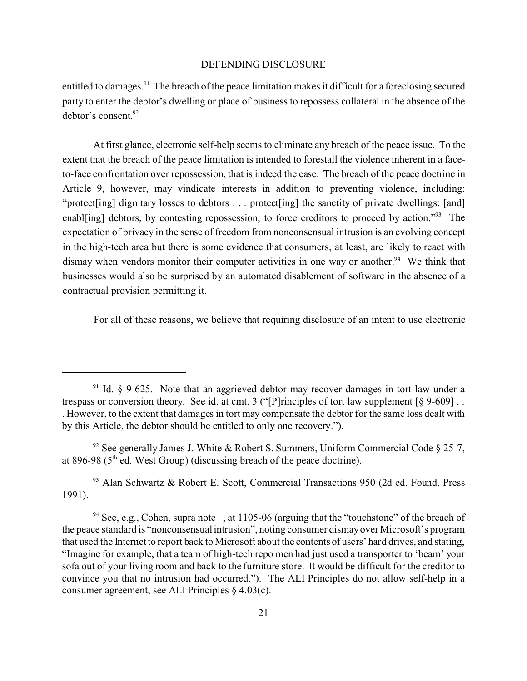entitled to damages.<sup>91</sup> The breach of the peace limitation makes it difficult for a foreclosing secured party to enter the debtor's dwelling or place of business to repossess collateral in the absence of the debtor's consent. 92

At first glance, electronic self-help seems to eliminate any breach of the peace issue. To the extent that the breach of the peace limitation is intended to forestall the violence inherent in a faceto-face confrontation over repossession, that is indeed the case. The breach of the peace doctrine in Article 9, however, may vindicate interests in addition to preventing violence, including: "protect [ing] dignitary losses to debtors . . . protect [ing] the sanctity of private dwellings; [and] enablorging] debtors, by contesting repossession, to force creditors to proceed by action."<sup>93</sup> The expectation of privacy in the sense of freedom from nonconsensual intrusion is an evolving concept in the high-tech area but there is some evidence that consumers, at least, are likely to react with dismay when vendors monitor their computer activities in one way or another.<sup>94</sup> We think that businesses would also be surprised by an automated disablement of software in the absence of a contractual provision permitting it.

For all of these reasons, we believe that requiring disclosure of an intent to use electronic

<sup>93</sup> Alan Schwartz & Robert E. Scott, Commercial Transactions 950 (2d ed. Found. Press 1991).

<sup>&</sup>lt;sup>91</sup> Id.  $\frac{1}{2}$  9-625. Note that an aggrieved debtor may recover damages in tort law under a trespass or conversion theory. See id. at cmt. 3 ("[P]rinciples of tort law supplement [§ 9-609] . . . However, to the extent that damages in tort may compensate the debtor for the same loss dealt with by this Article, the debtor should be entitled to only one recovery.").

<sup>&</sup>lt;sup>92</sup> See generally James J. White & Robert S. Summers, Uniform Commercial Code  $\S$  25-7, at 896-98 ( $5<sup>th</sup>$  ed. West Group) (discussing breach of the peace doctrine).

<sup>&</sup>lt;sup>94</sup> See, e.g., Cohen, supra note , at 1105-06 (arguing that the "touchstone" of the breach of the peace standard is "nonconsensual intrusion", noting consumer dismay over Microsoft's program that used the Internet to report back to Microsoft about the contents of users' hard drives, and stating, "Imagine for example, that a team of high-tech repo men had just used a transporter to 'beam' your sofa out of your living room and back to the furniture store. It would be difficult for the creditor to convince you that no intrusion had occurred."). The ALI Principles do not allow self-help in a consumer agreement, see ALI Principles § 4.03(c).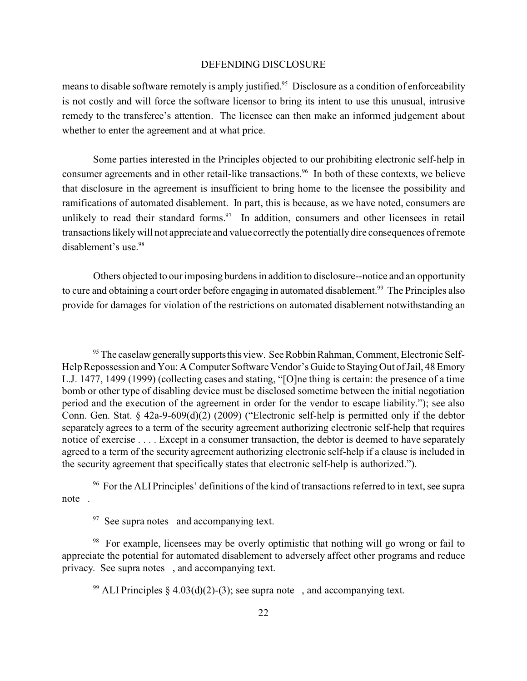means to disable software remotely is amply justified.<sup>95</sup> Disclosure as a condition of enforceability is not costly and will force the software licensor to bring its intent to use this unusual, intrusive remedy to the transferee's attention. The licensee can then make an informed judgement about whether to enter the agreement and at what price.

Some parties interested in the Principles objected to our prohibiting electronic self-help in consumer agreements and in other retail-like transactions.<sup>96</sup> In both of these contexts, we believe that disclosure in the agreement is insufficient to bring home to the licensee the possibility and ramifications of automated disablement. In part, this is because, as we have noted, consumers are unlikely to read their standard forms. $\frac{97}{10}$  In addition, consumers and other licensees in retail transactionslikely will not appreciate and value correctly the potentially dire consequences of remote disablement's use.<sup>98</sup>

Others objected to our imposing burdens in addition to disclosure--notice and an opportunity to cure and obtaining a court order before engaging in automated disablement.<sup>99</sup> The Principles also provide for damages for violation of the restrictions on automated disablement notwithstanding an

<sup>&</sup>lt;sup>95</sup> The caselaw generally supports this view. See Robbin Rahman, Comment, Electronic Self-Help Repossession and You: A Computer Software Vendor's Guide to Staying Out of Jail, 48 Emory L.J. 1477, 1499 (1999) (collecting cases and stating, "[O]ne thing is certain: the presence of a time bomb or other type of disabling device must be disclosed sometime between the initial negotiation period and the execution of the agreement in order for the vendor to escape liability."); see also Conn. Gen. Stat. § 42a-9-609(d)(2) (2009) ("Electronic self-help is permitted only if the debtor separately agrees to a term of the security agreement authorizing electronic self-help that requires notice of exercise . . . . Except in a consumer transaction, the debtor is deemed to have separately agreed to a term of the security agreement authorizing electronic self-help if a clause is included in the security agreement that specifically states that electronic self-help is authorized.").

<sup>&</sup>lt;sup>96</sup> For the ALI Principles' definitions of the kind of transactions referred to in text, see supra note .

 $97$  See supra notes and accompanying text.

<sup>&</sup>lt;sup>98</sup> For example, licensees may be overly optimistic that nothing will go wrong or fail to appreciate the potential for automated disablement to adversely affect other programs and reduce privacy. See supra notes , and accompanying text.

<sup>&</sup>lt;sup>99</sup> ALI Principles § 4.03(d)(2)-(3); see supra note , and accompanying text.